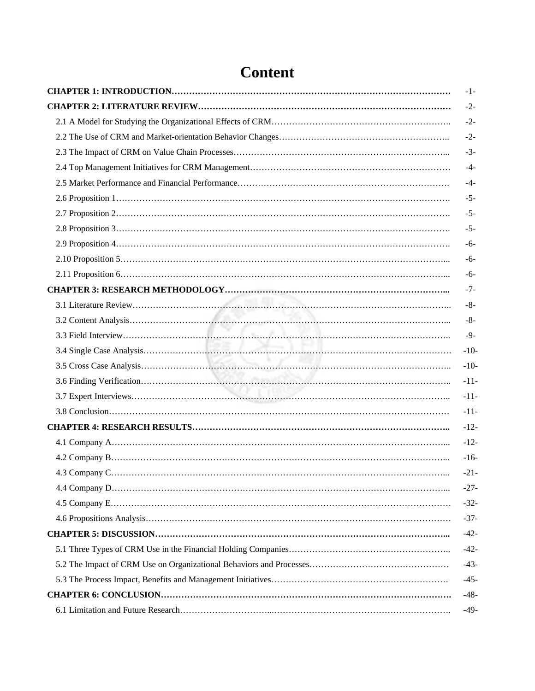| $-1-$  |
|--------|
| $-2-$  |
| $-2-$  |
| $-2-$  |
| $-3-$  |
| $-4-$  |
| $-4-$  |
| $-5-$  |
| $-5-$  |
| $-5-$  |
| $-6-$  |
| $-6-$  |
| $-6-$  |
| $-7-$  |
| $-8-$  |
| $-8-$  |
| $-9-$  |
| $-10-$ |
| $-10-$ |
| $-11-$ |
| $-11-$ |
| $-11-$ |
| $-12-$ |
| $-12-$ |
| $-16-$ |
| $-21-$ |
| $-27-$ |
| $-32-$ |
| $-37-$ |
| $-42-$ |
| $-42-$ |
| $-43-$ |
| $-45-$ |
| $-48-$ |
| $-49-$ |

## **Content**